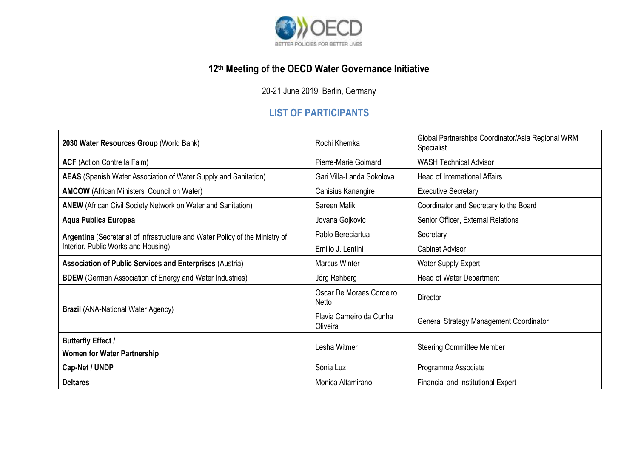

## **12 th Meeting of the OECD Water Governance Initiative**

20-21 June 2019, Berlin, Germany

## **LIST OF PARTICIPANTS**

| 2030 Water Resources Group (World Bank)                                                                             | Rochi Khemka                             | Global Partnerships Coordinator/Asia Regional WRM<br>Specialist |
|---------------------------------------------------------------------------------------------------------------------|------------------------------------------|-----------------------------------------------------------------|
| <b>ACF</b> (Action Contre la Faim)                                                                                  | Pierre-Marie Goimard                     | <b>WASH Technical Advisor</b>                                   |
| <b>AEAS</b> (Spanish Water Association of Water Supply and Sanitation)                                              | Gari Villa-Landa Sokolova                | Head of International Affairs                                   |
| <b>AMCOW</b> (African Ministers' Council on Water)                                                                  | Canisius Kanangire                       | <b>Executive Secretary</b>                                      |
| <b>ANEW</b> (African Civil Society Network on Water and Sanitation)                                                 | Sareen Malik                             | Coordinator and Secretary to the Board                          |
| Aqua Publica Europea                                                                                                | Jovana Gojkovic                          | Senior Officer, External Relations                              |
| Argentina (Secretariat of Infrastructure and Water Policy of the Ministry of<br>Interior, Public Works and Housing) | Pablo Bereciartua                        | Secretary                                                       |
|                                                                                                                     | Emilio J. Lentini                        | <b>Cabinet Advisor</b>                                          |
| <b>Association of Public Services and Enterprises (Austria)</b>                                                     | <b>Marcus Winter</b>                     | <b>Water Supply Expert</b>                                      |
| <b>BDEW</b> (German Association of Energy and Water Industries)                                                     | Jörg Rehberg                             | <b>Head of Water Department</b>                                 |
| <b>Brazil (ANA-National Water Agency)</b>                                                                           | Oscar De Moraes Cordeiro<br><b>Netto</b> | Director                                                        |
|                                                                                                                     | Flavia Carneiro da Cunha<br>Oliveira     | General Strategy Management Coordinator                         |
| <b>Butterfly Effect /</b>                                                                                           | Lesha Witmer                             | <b>Steering Committee Member</b>                                |
| <b>Women for Water Partnership</b>                                                                                  |                                          |                                                                 |
| Cap-Net / UNDP                                                                                                      | Sónia Luz                                | Programme Associate                                             |
| <b>Deltares</b>                                                                                                     | Monica Altamirano                        | Financial and Institutional Expert                              |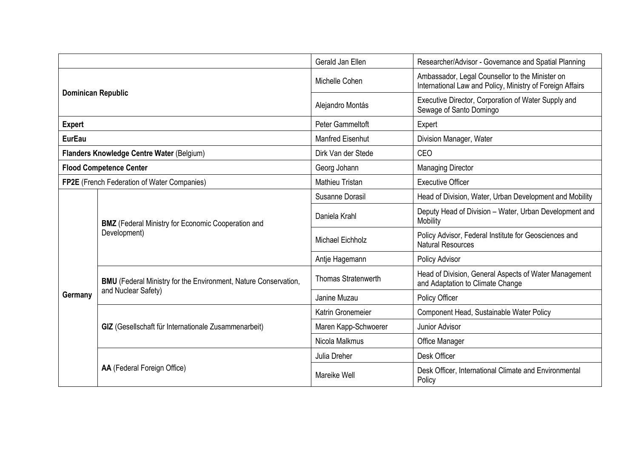|                                           |                                                                                               | Gerald Jan Ellen           | Researcher/Advisor - Governance and Spatial Planning                                                         |
|-------------------------------------------|-----------------------------------------------------------------------------------------------|----------------------------|--------------------------------------------------------------------------------------------------------------|
| <b>Dominican Republic</b>                 |                                                                                               | Michelle Cohen             | Ambassador, Legal Counsellor to the Minister on<br>International Law and Policy, Ministry of Foreign Affairs |
|                                           |                                                                                               | Alejandro Montás           | Executive Director, Corporation of Water Supply and<br>Sewage of Santo Domingo                               |
| <b>Expert</b>                             |                                                                                               | <b>Peter Gammeltoft</b>    | Expert                                                                                                       |
| <b>EurEau</b>                             |                                                                                               | <b>Manfred Eisenhut</b>    | Division Manager, Water                                                                                      |
| Flanders Knowledge Centre Water (Belgium) |                                                                                               | Dirk Van der Stede         | CEO                                                                                                          |
| <b>Flood Competence Center</b>            |                                                                                               | Georg Johann               | <b>Managing Director</b>                                                                                     |
|                                           | FP2E (French Federation of Water Companies)                                                   | <b>Mathieu Tristan</b>     | <b>Executive Officer</b>                                                                                     |
|                                           | <b>BMZ</b> (Federal Ministry for Economic Cooperation and<br>Development)                     | Susanne Dorasil            | Head of Division, Water, Urban Development and Mobility                                                      |
| Germany                                   |                                                                                               | Daniela Krahl              | Deputy Head of Division - Water, Urban Development and<br>Mobility                                           |
|                                           |                                                                                               | <b>Michael Eichholz</b>    | Policy Advisor, Federal Institute for Geosciences and<br><b>Natural Resources</b>                            |
|                                           |                                                                                               | Antje Hagemann             | Policy Advisor                                                                                               |
|                                           | <b>BMU</b> (Federal Ministry for the Environment, Nature Conservation,<br>and Nuclear Safety) | <b>Thomas Stratenwerth</b> | Head of Division, General Aspects of Water Management<br>and Adaptation to Climate Change                    |
|                                           |                                                                                               | Janine Muzau               | Policy Officer                                                                                               |
|                                           | GIZ (Gesellschaft für Internationale Zusammenarbeit)                                          | Katrin Gronemeier          | Component Head, Sustainable Water Policy                                                                     |
|                                           |                                                                                               | Maren Kapp-Schwoerer       | Junior Advisor                                                                                               |
|                                           |                                                                                               | Nicola Malkmus             | Office Manager                                                                                               |
|                                           | AA (Federal Foreign Office)                                                                   | Julia Dreher               | Desk Officer                                                                                                 |
|                                           |                                                                                               | Mareike Well               | Desk Officer, International Climate and Environmental<br>Policy                                              |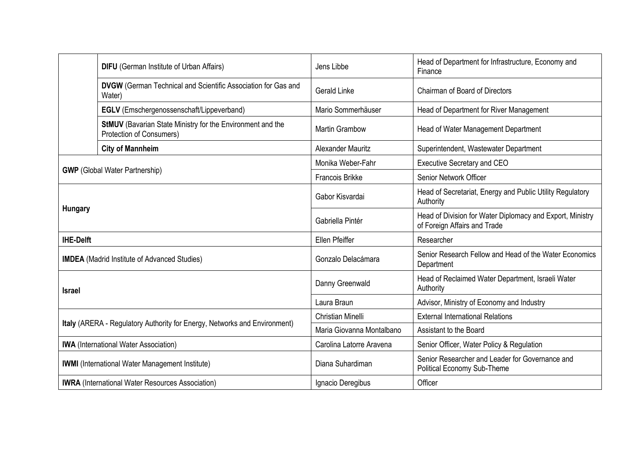|                                                                           | <b>DIFU</b> (German Institute of Urban Affairs)                                        | Jens Libbe                | Head of Department for Infrastructure, Economy and<br>Finance                             |
|---------------------------------------------------------------------------|----------------------------------------------------------------------------------------|---------------------------|-------------------------------------------------------------------------------------------|
|                                                                           | <b>DVGW</b> (German Technical and Scientific Association for Gas and<br>Water)         | <b>Gerald Linke</b>       | <b>Chairman of Board of Directors</b>                                                     |
|                                                                           | EGLV (Emschergenossenschaft/Lippeverband)                                              | Mario Sommerhäuser        | Head of Department for River Management                                                   |
|                                                                           | StMUV (Bavarian State Ministry for the Environment and the<br>Protection of Consumers) | <b>Martin Grambow</b>     | Head of Water Management Department                                                       |
|                                                                           | <b>City of Mannheim</b>                                                                | <b>Alexander Mauritz</b>  | Superintendent, Wastewater Department                                                     |
| <b>GWP</b> (Global Water Partnership)                                     |                                                                                        | Monika Weber-Fahr         | Executive Secretary and CEO                                                               |
|                                                                           |                                                                                        | <b>Francois Brikke</b>    | Senior Network Officer                                                                    |
| <b>Hungary</b>                                                            |                                                                                        | Gabor Kisvardai           | Head of Secretariat, Energy and Public Utility Regulatory<br>Authority                    |
|                                                                           |                                                                                        | Gabriella Pintér          | Head of Division for Water Diplomacy and Export, Ministry<br>of Foreign Affairs and Trade |
| <b>IHE-Delft</b>                                                          |                                                                                        | Ellen Pfeiffer            | Researcher                                                                                |
|                                                                           | <b>IMDEA</b> (Madrid Institute of Advanced Studies)                                    | Gonzalo Delacámara        | Senior Research Fellow and Head of the Water Economics<br>Department                      |
| <b>Israel</b>                                                             |                                                                                        | Danny Greenwald           | Head of Reclaimed Water Department, Israeli Water<br>Authority                            |
|                                                                           |                                                                                        | Laura Braun               | Advisor, Ministry of Economy and Industry                                                 |
| Italy (ARERA - Regulatory Authority for Energy, Networks and Environment) |                                                                                        | <b>Christian Minelli</b>  | <b>External International Relations</b>                                                   |
|                                                                           |                                                                                        | Maria Giovanna Montalbano | Assistant to the Board                                                                    |
|                                                                           | <b>IWA</b> (International Water Association)                                           | Carolina Latorre Aravena  | Senior Officer, Water Policy & Regulation                                                 |
|                                                                           | <b>IWMI</b> (International Water Management Institute)                                 | Diana Suhardiman          | Senior Researcher and Leader for Governance and<br>Political Economy Sub-Theme            |
|                                                                           | <b>IWRA</b> (International Water Resources Association)                                | Ignacio Deregibus         | Officer                                                                                   |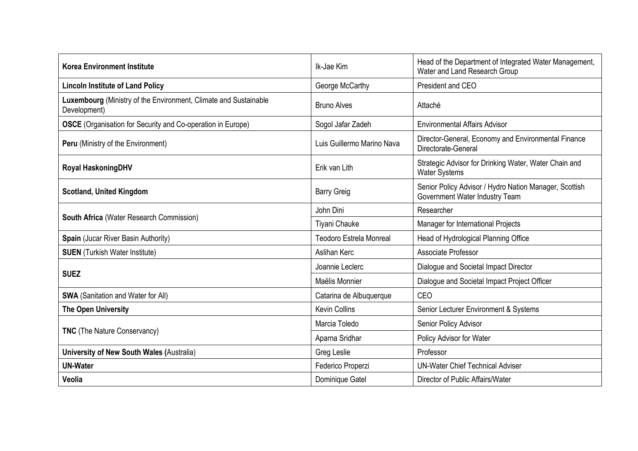| <b>Korea Environment Institute</b>                                               | Ik-Jae Kim                     | Head of the Department of Integrated Water Management,<br>Water and Land Research Group  |
|----------------------------------------------------------------------------------|--------------------------------|------------------------------------------------------------------------------------------|
| <b>Lincoln Institute of Land Policy</b>                                          | George McCarthy                | President and CEO                                                                        |
| Luxembourg (Ministry of the Environment, Climate and Sustainable<br>Development) | <b>Bruno Alves</b>             | Attaché                                                                                  |
| <b>OSCE</b> (Organisation for Security and Co-operation in Europe)               | Sogol Jafar Zadeh              | <b>Environmental Affairs Advisor</b>                                                     |
| Peru (Ministry of the Environment)                                               | Luis Guillermo Marino Nava     | Director-General, Economy and Environmental Finance<br>Directorate-General               |
| Royal HaskoningDHV                                                               | Erik van Lith                  | Strategic Advisor for Drinking Water, Water Chain and<br><b>Water Systems</b>            |
| <b>Scotland, United Kingdom</b>                                                  | <b>Barry Greig</b>             | Senior Policy Advisor / Hydro Nation Manager, Scottish<br>Government Water Industry Team |
|                                                                                  | John Dini                      | Researcher                                                                               |
| South Africa (Water Research Commission)                                         | Tiyani Chauke                  | Manager for International Projects                                                       |
| Spain (Jucar River Basin Authority)                                              | <b>Teodoro Estrela Monreal</b> | Head of Hydrological Planning Office                                                     |
| <b>SUEN</b> (Turkish Water Institute)                                            | Aslihan Kerc                   | Associate Professor                                                                      |
| <b>SUEZ</b>                                                                      | Joannie Leclerc                | Dialogue and Societal Impact Director                                                    |
|                                                                                  | Maëlis Monnier                 | Dialogue and Societal Impact Project Officer                                             |
| <b>SWA</b> (Sanitation and Water for All)                                        | Catarina de Albuquerque        | CEO                                                                                      |
| The Open University                                                              | <b>Kevin Collins</b>           | Senior Lecturer Environment & Systems                                                    |
| <b>TNC</b> (The Nature Conservancy)                                              | Marcia Toledo                  | Senior Policy Advisor                                                                    |
|                                                                                  | Aparna Sridhar                 | Policy Advisor for Water                                                                 |
| <b>University of New South Wales (Australia)</b>                                 | Greg Leslie                    | Professor                                                                                |
| <b>UN-Water</b>                                                                  | Federico Properzi              | <b>UN-Water Chief Technical Adviser</b>                                                  |
| Veolia                                                                           | Dominique Gatel                | Director of Public Affairs/Water                                                         |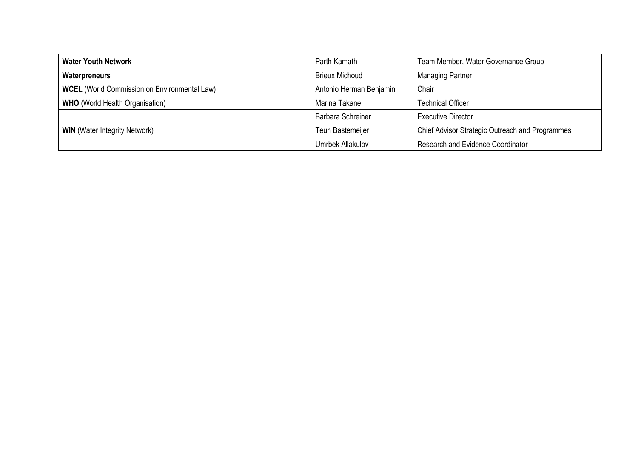| <b>Water Youth Network</b>                          | Parth Kamath             | Team Member, Water Governance Group             |
|-----------------------------------------------------|--------------------------|-------------------------------------------------|
| Waterpreneurs                                       | <b>Brieux Michoud</b>    | <b>Managing Partner</b>                         |
| <b>WCEL</b> (World Commission on Environmental Law) | Antonio Herman Benjamin  | Chair                                           |
| <b>WHO</b> (World Health Organisation)              | Marina Takane            | <b>Technical Officer</b>                        |
| <b>WIN</b> (Water Integrity Network)                | <b>Barbara Schreiner</b> | <b>Executive Director</b>                       |
|                                                     | Teun Bastemeijer         | Chief Advisor Strategic Outreach and Programmes |
|                                                     | Umrbek Allakulov         | Research and Evidence Coordinator               |